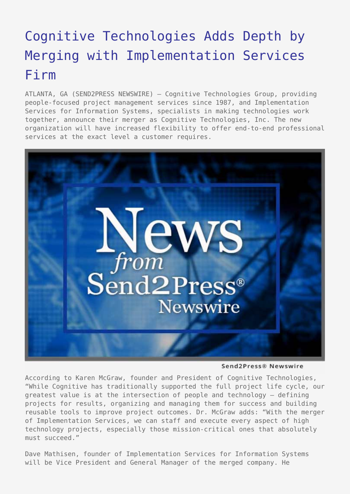## [Cognitive Technologies Adds Depth by](https://www.send2press.com/wire/2005-12-1228-001/) [Merging with Implementation Services](https://www.send2press.com/wire/2005-12-1228-001/) [Firm](https://www.send2press.com/wire/2005-12-1228-001/)

ATLANTA, GA (SEND2PRESS NEWSWIRE) — Cognitive Technologies Group, providing people-focused project management services since 1987, and Implementation Services for Information Systems, specialists in making technologies work together, announce their merger as Cognitive Technologies, Inc. The new organization will have increased flexibility to offer end-to-end professional services at the exact level a customer requires.



Send2Press® Newswire

According to Karen McGraw, founder and President of Cognitive Technologies, "While Cognitive has traditionally supported the full project life cycle, our greatest value is at the intersection of people and technology – defining projects for results, organizing and managing them for success and building reusable tools to improve project outcomes. Dr. McGraw adds: "With the merger of Implementation Services, we can staff and execute every aspect of high technology projects, especially those mission-critical ones that absolutely must succeed."

Dave Mathisen, founder of Implementation Services for Information Systems will be Vice President and General Manager of the merged company. He